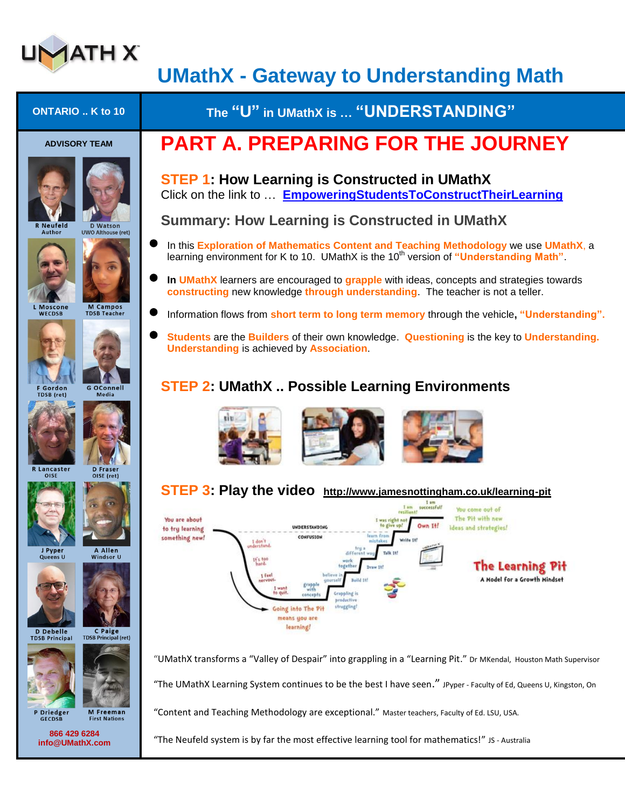

## **UMathX - Gateway to Understanding Math**

| <b>ONTARIO</b> K to 10                                                                                                      | The "U" in UMathX is  "UNDERSTANDING"                                                                                                                                                                                                                                                                                                    |
|-----------------------------------------------------------------------------------------------------------------------------|------------------------------------------------------------------------------------------------------------------------------------------------------------------------------------------------------------------------------------------------------------------------------------------------------------------------------------------|
| <b>ADVISORY TEAM</b>                                                                                                        | <b>PART A. PREPARING FOR THE JOURNEY</b>                                                                                                                                                                                                                                                                                                 |
|                                                                                                                             | <b>STEP 1: How Learning is Constructed in UMathX</b><br>Click on the link to  EmpoweringStudentsToConstructTheirLearning                                                                                                                                                                                                                 |
| <b>R</b> Neufeld<br><b>D</b> Watson<br>Author<br><b>UWO Althouse (ret)</b>                                                  | <b>Summary: How Learning is Constructed in UMathX</b>                                                                                                                                                                                                                                                                                    |
|                                                                                                                             | In this <b>Exploration of Mathematics Content and Teaching Methodology</b> we use UMathX, a<br>learning environment for K to 10. UMathX is the 10 <sup>th</sup> version of "Understanding Math".                                                                                                                                         |
|                                                                                                                             | In UMathX learners are encouraged to grapple with ideas, concepts and strategies towards<br>constructing new knowledge through understanding. The teacher is not a teller.                                                                                                                                                               |
| <b>M</b> Campos<br><b>Moscone</b><br><b>TDSB Teacher</b><br><b>WECDSB</b>                                                   | Information flows from short term to long term memory through the vehicle, "Understanding".                                                                                                                                                                                                                                              |
|                                                                                                                             | Students are the Builders of their own knowledge. Questioning is the key to Understanding.<br><b>Understanding is achieved by Association.</b>                                                                                                                                                                                           |
| <b>G OConnell</b><br><b>F</b> Gordon<br>Media<br>TDSB (ret)                                                                 | <b>STEP 2: UMathX  Possible Learning Environments</b>                                                                                                                                                                                                                                                                                    |
| <b>R</b> Lancaster<br><b>D</b> Fraser<br>OISE<br>OISE (ret)                                                                 |                                                                                                                                                                                                                                                                                                                                          |
|                                                                                                                             | STEP 3: Play the video http://www.jamesnottingham.co.uk/learning-pit                                                                                                                                                                                                                                                                     |
|                                                                                                                             | I am<br>successful!<br>You come out of<br>resiliant<br>The Pit with new<br>You are about<br>I was right no<br>Own It!<br>ideas and strategies!<br><b>INDERSTANDING</b><br>to try learning<br>learn from<br>CONFUSION<br>something new!<br>Write It!<br>mistakes<br>$1$ don 1                                                             |
| J Pyper<br>A Allen<br>Queens U<br>Windsor U<br>C Paige<br>D Debelle<br><b>TDSB Principal (ret)</b><br><b>TDSB Principal</b> | different wa<br>Talk 14f<br><b>If's too</b><br>wark<br>hard.<br><b>The Learning Pit</b><br>together<br>Draw 14!<br>believe.<br>1 feel<br>A Model for a Growth Mindset<br>Build 140<br>vervous<br>grapple<br>with<br>to quit<br>Grappling is<br>concepts<br>productive<br>struggling!<br>Going into The Pit<br>means you are<br>learning! |
|                                                                                                                             | "UMathX transforms a "Valley of Despair" into grappling in a "Learning Pit." Dr MKendal, Houston Math Supervisor                                                                                                                                                                                                                         |
|                                                                                                                             | "The UMathX Learning System continues to be the best I have seen." JPyper - Faculty of Ed, Queens U, Kingston, On                                                                                                                                                                                                                        |
| P Driedger<br><b>M</b> Freeman<br><b>First Nations</b><br><b>GECDSB</b>                                                     | "Content and Teaching Methodology are exceptional." Master teachers, Faculty of Ed. LSU, USA.                                                                                                                                                                                                                                            |
| 866 429 6284<br>info@UMathX.com                                                                                             | "The Neufeld system is by far the most effective learning tool for mathematics!" JS - Australia                                                                                                                                                                                                                                          |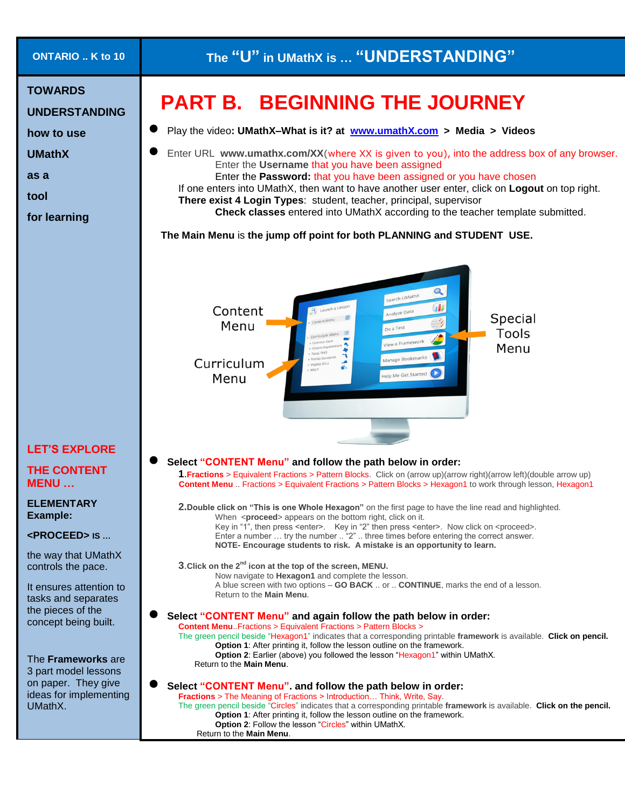| <b>ONTARIO</b> K to 10                                                                                                                                      | The "U" in UMathX is  "UNDERSTANDING"                                                                                                                                                                                                                                                                                                                                                                                                                                                                                                                                                                                                                                                                                            |
|-------------------------------------------------------------------------------------------------------------------------------------------------------------|----------------------------------------------------------------------------------------------------------------------------------------------------------------------------------------------------------------------------------------------------------------------------------------------------------------------------------------------------------------------------------------------------------------------------------------------------------------------------------------------------------------------------------------------------------------------------------------------------------------------------------------------------------------------------------------------------------------------------------|
| <b>TOWARDS</b><br><b>UNDERSTANDING</b><br>how to use<br><b>UMathX</b><br>as a<br>tool<br>for learning                                                       | <b>PART B. BEGINNING THE JOURNEY</b><br>Play the video: UMathX-What is it? at www.umathX.com > Media > Videos<br>Enter URL www.umathx.com/XX(where XX is given to you), into the address box of any browser.<br>Enter the Username that you have been assigned<br>Enter the Password: that you have been assigned or you have chosen<br>If one enters into UMathX, then want to have another user enter, click on Logout on top right.<br>There exist 4 Login Types: student, teacher, principal, supervisor<br>Check classes entered into UMathX according to the teacher template submitted.<br>The Main Menu is the jump off point for both PLANNING and STUDENT USE.                                                         |
|                                                                                                                                                             | Q<br>Search UMathX<br>Content<br>Analyze Data<br>Special<br>Menu<br>o a Test<br><b>Tools</b><br>iew a Framework<br>Menu<br>age Bookmarks<br>Curriculum<br>Help Me Get Started<br>Menu                                                                                                                                                                                                                                                                                                                                                                                                                                                                                                                                            |
| <b>LET'S EXPLORE</b>                                                                                                                                        |                                                                                                                                                                                                                                                                                                                                                                                                                                                                                                                                                                                                                                                                                                                                  |
| <b>THE CONTENT</b><br><b>MENU</b>                                                                                                                           | Select "CONTENT Menu" and follow the path below in order:<br>1. Fractions > Equivalent Fractions > Pattern Blocks. Click on (arrow up)(arrow right)(arrow left)(double arrow up)<br>Content Menu  Fractions > Equivalent Fractions > Pattern Blocks > Hexagon1 to work through lesson, Hexagon1                                                                                                                                                                                                                                                                                                                                                                                                                                  |
| <b>ELEMENTARY</b><br>Example:<br><proceed> is <br/>the way that UMathX<br/>controls the pace.<br/>It ensures attention to<br/>tasks and separates</proceed> | 2. Double click on "This is one Whole Hexagon" on the first page to have the line read and highlighted.<br>When <proceed> appears on the bottom right, click on it.<br/>Key in "1", then press <enter>. Key in "2" then press <enter>. Now click on <proceed>.<br/>Enter a number  try the number  "2"  three times before entering the correct answer.<br/>NOTE- Encourage students to risk. A mistake is an opportunity to learn.<br/>3. Click on the 2<sup>nd</sup> icon at the top of the screen, MENU.<br/>Now navigate to Hexagon1 and complete the lesson.<br/>A blue screen with two options – GO BACK  or  CONTINUE, marks the end of a lesson.<br/>Return to the <b>Main Menu.</b></proceed></enter></enter></proceed> |
| the pieces of the<br>concept being built.<br>The Frameworks are<br>3 part model lessons                                                                     | Select "CONTENT Menu" and again follow the path below in order:<br><b>Content Menu.</b> Fractions > Equivalent Fractions > Pattern Blocks ><br>The green pencil beside "Hexagon1" indicates that a corresponding printable framework is available. Click on pencil.<br><b>Option 1:</b> After printing it, follow the lesson outline on the framework.<br>Option 2: Earlier (above) you followed the lesson "Hexagon1" within UMathX.<br>Return to the <b>Main Menu.</b>                                                                                                                                                                                                                                                         |
| on paper. They give<br>ideas for implementing<br>UMathX.                                                                                                    | Select "CONTENT Menu". and follow the path below in order:<br>Fractions > The Meaning of Fractions > Introduction Think, Write, Say.<br>The green pencil beside "Circles" indicates that a corresponding printable framework is available. Click on the pencil.<br><b>Option 1:</b> After printing it, follow the lesson outline on the framework.<br><b>Option 2: Follow the lesson "Circles" within UMathX.</b><br>Return to the Main Menu.                                                                                                                                                                                                                                                                                    |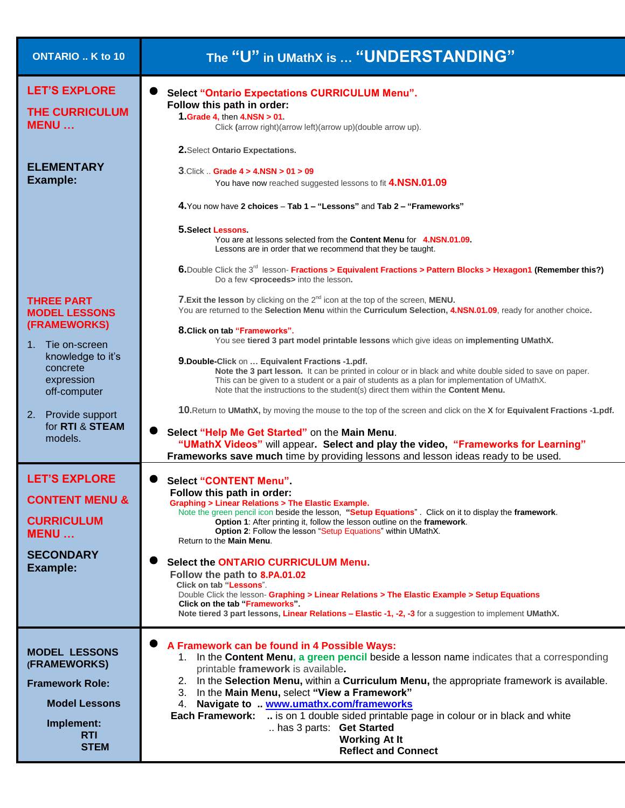| <b>ONTARIO</b> K to 10                                                                                                                                                                           | The "U" in UMathX is  "UNDERSTANDING"                                                                                                                                                                                                                                                                                                                                                                                                                                                                                                                                                                                                                                                                                                                                                                                                                                                                                                                                                                                                              |
|--------------------------------------------------------------------------------------------------------------------------------------------------------------------------------------------------|----------------------------------------------------------------------------------------------------------------------------------------------------------------------------------------------------------------------------------------------------------------------------------------------------------------------------------------------------------------------------------------------------------------------------------------------------------------------------------------------------------------------------------------------------------------------------------------------------------------------------------------------------------------------------------------------------------------------------------------------------------------------------------------------------------------------------------------------------------------------------------------------------------------------------------------------------------------------------------------------------------------------------------------------------|
| <b>LET'S EXPLORE</b><br><b>THE CURRICULUM</b><br><b>MENU</b>                                                                                                                                     | <b>Select "Ontario Expectations CURRICULUM Menu".</b><br>Follow this path in order:<br>1. Grade 4, then 4. NSN > 01.<br>Click (arrow right)(arrow left)(arrow up)(double arrow up).<br>2. Select Ontario Expectations.                                                                                                                                                                                                                                                                                                                                                                                                                                                                                                                                                                                                                                                                                                                                                                                                                             |
| <b>ELEMENTARY</b><br>Example:                                                                                                                                                                    | $3$ .Click  Grade $4 > 4$ .NSN $> 01 > 09$<br>You have now reached suggested lessons to fit 4.NSN.01.09<br>4. You now have 2 choices - Tab 1 - "Lessons" and Tab 2 - "Frameworks"<br>5. Select Lessons<br>You are at lessons selected from the Content Menu for 4.NSN.01.09.<br>Lessons are in order that we recommend that they be taught.<br>6. Double Click the 3 <sup>rd</sup> lesson- Fractions > Equivalent Fractions > Pattern Blocks > Hexagon1 (Remember this?)<br>Do a few <proceeds> into the lesson.</proceeds>                                                                                                                                                                                                                                                                                                                                                                                                                                                                                                                        |
| <b>THREE PART</b><br><b>MODEL LESSONS</b><br>(FRAMEWORKS)<br>1. Tie on-screen<br>knowledge to it's<br>concrete<br>expression<br>off-computer<br>2. Provide support<br>for RTI & STEAM<br>models. | 7. Exit the lesson by clicking on the 2 <sup>nd</sup> icon at the top of the screen, MENU.<br>You are returned to the Selection Menu within the Curriculum Selection, 4.NSN.01.09, ready for another choice.<br>8. Click on tab "Frameworks".<br>You see tiered 3 part model printable lessons which give ideas on implementing UMathX.<br>9. Double-Click on  Equivalent Fractions -1.pdf.<br>Note the 3 part lesson. It can be printed in colour or in black and white double sided to save on paper.<br>This can be given to a student or a pair of students as a plan for implementation of UMathX.<br>Note that the instructions to the student(s) direct them within the Content Menu.<br>10. Return to UMathX, by moving the mouse to the top of the screen and click on the X for Equivalent Fractions -1.pdf.<br>Select "Help Me Get Started" on the Main Menu.<br>"UMathX Videos" will appear. Select and play the video, "Frameworks for Learning"<br>Frameworks save much time by providing lessons and lesson ideas ready to be used. |
| <b>LET'S EXPLORE</b><br><b>CONTENT MENU &amp;</b><br><b>CURRICULUM</b><br><b>MENU</b><br><b>SECONDARY</b><br><b>Example:</b>                                                                     | <b>Select "CONTENT Menu"</b><br>Follow this path in order:<br><b>Graphing &gt; Linear Relations &gt; The Elastic Example.</b><br>Note the green pencil icon beside the lesson, "Setup Equations". Click on it to display the framework.<br>Option 1: After printing it, follow the lesson outline on the framework.<br><b>Option 2: Follow the lesson "Setup Equations" within UMathX.</b><br>Return to the Main Menu.<br><b>Select the ONTARIO CURRICULUM Menu.</b><br>Follow the path to 8.PA.01.02<br>Click on tab "Lessons".<br>Double Click the lesson- Graphing > Linear Relations > The Elastic Example > Setup Equations<br>Click on the tab "Frameworks".<br>Note tiered 3 part lessons, Linear Relations - Elastic -1, -2, -3 for a suggestion to implement UMathX.                                                                                                                                                                                                                                                                      |
| <b>MODEL LESSONS</b><br>(FRAMEWORKS)<br><b>Framework Role:</b><br><b>Model Lessons</b><br>Implement:<br><b>RTI</b><br><b>STEM</b>                                                                | A Framework can be found in 4 Possible Ways:<br>1. In the Content Menu, a green pencil beside a lesson name indicates that a corresponding<br>printable framework is available.<br>2. In the Selection Menu, within a Curriculum Menu, the appropriate framework is available.<br>3. In the Main Menu, select "View a Framework"<br>4. Navigate to  www.umathx.com/frameworks<br>is on 1 double sided printable page in colour or in black and white<br><b>Each Framework:</b><br>has 3 parts: Get Started<br><b>Working At It</b><br><b>Reflect and Connect</b>                                                                                                                                                                                                                                                                                                                                                                                                                                                                                   |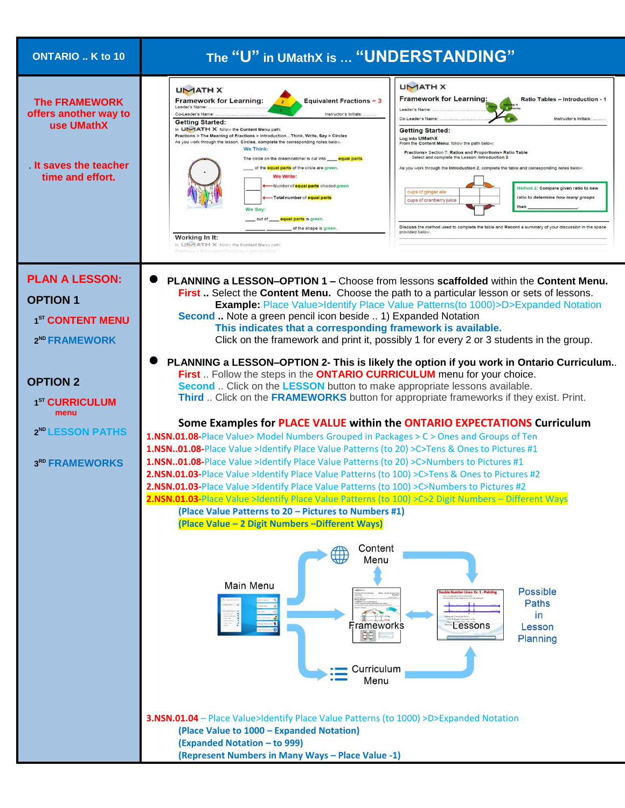| ONTARIO  K to 10                                                                                                   | The "U" in UMathX is  "UNDERSTANDING"                                                                                                                                                                                                                                                                                                                                                                                                                                                                                                                                                                                                                                                                                                                                                                                                                                                                                                                                                                                                                                                                                                                                                                                                                                                                                                                                                                                                                                                                      |
|--------------------------------------------------------------------------------------------------------------------|------------------------------------------------------------------------------------------------------------------------------------------------------------------------------------------------------------------------------------------------------------------------------------------------------------------------------------------------------------------------------------------------------------------------------------------------------------------------------------------------------------------------------------------------------------------------------------------------------------------------------------------------------------------------------------------------------------------------------------------------------------------------------------------------------------------------------------------------------------------------------------------------------------------------------------------------------------------------------------------------------------------------------------------------------------------------------------------------------------------------------------------------------------------------------------------------------------------------------------------------------------------------------------------------------------------------------------------------------------------------------------------------------------------------------------------------------------------------------------------------------------|
| <b>The FRAMEWORK</b><br>offers another way to<br>use UMathX<br>It saves the teacher<br>time and effort.            | <b>UMATH X</b><br><b>UMATHX</b><br><b>Framework for Learning:</b><br><b>Ratio Tables - Introduction - 1</b><br><b>Framework for Learning:</b><br><b>Equivalent Fractions - 3</b><br>Leader's Name:<br>Leader's Name<br>Instructor's Initials:<br>Co-Leader's Name:<br>Co-Leader's Name<br>Instructor's Initials:<br><b>Getting Started:</b><br>In UMATH X follow the Content Menu path<br><b>Getting Started:</b><br>Fractions > The Meaning of Fractions > IntroductionThink, Write, Say > Circles<br>Log into UMathX<br>As you work through the lesson, Circles, complete the corresponding notes below<br>From the Content Menu, follow the path below<br>We Think:<br>Fractions> Section 7: Ratios and Proportions> Ratio Table<br>Select and complete the Lesson: Introduction 2<br>The circle on the dreamcatcher is cut into _____ equal parts<br>of the <b>equal parts</b> of the circle are green.<br>As you work through the Introduction 2, complete the table and corresponding notes below.<br>We Write:<br>-Number of <b>equal parts</b> shaded green<br>Method 2: Compare given ratio to new<br>cups of ginger ale<br>ratio to determine how many groups<br>Total number of equal parts<br>cups of cranberry juice<br>ther<br>We Say:<br>_out of ____ equal parts is green.<br>Discuss the method used to complete the table and Record a summary of your discussion in the space<br>of the shape is green.<br>provided below<br>Working In It:<br>In LIMATH X follow the Content Menu path |
| <b>PLAN A LESSON:</b><br><b>OPTION 1</b><br>1 <sup>ST</sup> CONTENT MENU                                           | PLANNING a LESSON-OPTION 1 - Choose from lessons scaffolded within the Content Menu.<br>First  Select the Content Menu. Choose the path to a particular lesson or sets of lessons.<br><b>Example:</b> Place Value>Identify Place Value Patterns(to 1000)>D>Expanded Notation<br>Second  Note a green pencil icon beside  1) Expanded Notation<br>This indicates that a corresponding framework is available.                                                                                                                                                                                                                                                                                                                                                                                                                                                                                                                                                                                                                                                                                                                                                                                                                                                                                                                                                                                                                                                                                               |
| 2 <sup>ND</sup> FRAMEWORK<br><b>OPTION 2</b><br>1 <sup>ST</sup> CURRICULUM<br>menu<br>2 <sup>ND</sup> LESSON PATHS | Click on the framework and print it, possibly 1 for every 2 or 3 students in the group.<br>PLANNING a LESSON-OPTION 2- This is likely the option if you work in Ontario Curriculum<br>First  Follow the steps in the ONTARIO CURRICULUM menu for your choice.<br>Second  Click on the LESSON button to make appropriate lessons available.<br>Third  Click on the FRAMEWORKS button for appropriate frameworks if they exist. Print.<br>Some Examples for PLACE VALUE within the ONTARIO EXPECTATIONS Curriculum<br><b>1.NSN.01.08-Place Value&gt; Model Numbers Grouped in Packages &gt; C &gt; Ones and Groups of Ten</b><br>1.NSN01.08-Place Value >Identify Place Value Patterns (to 20) >C>Tens & Ones to Pictures #1                                                                                                                                                                                                                                                                                                                                                                                                                                                                                                                                                                                                                                                                                                                                                                                 |
| 3RD FRAMEWORKS                                                                                                     | 1.NSN01.08-Place Value >Identify Place Value Patterns (to 20) >C>Numbers to Pictures #1<br>2.NSN.01.03-Place Value >Identify Place Value Patterns (to 100) >C>Tens & Ones to Pictures #2<br>2.NSN.01.03-Place Value >Identify Place Value Patterns (to 100) >C>Numbers to Pictures #2<br>2.NSN.01.03-Place Value >Identify Place Value Patterns (to 100) >C>2 Digit Numbers - Different Ways<br>(Place Value Patterns to 20 - Pictures to Numbers #1)<br>(Place Value - 2 Digit Numbers - Different Ways)                                                                                                                                                                                                                                                                                                                                                                                                                                                                                                                                                                                                                                                                                                                                                                                                                                                                                                                                                                                                  |
|                                                                                                                    | Content<br>₩<br>Menu<br>Main Menu<br><b>Possible</b><br>er Lines: Ex. 1 - Pa<br>Paths<br>in<br>Lessons<br>Frameworks<br>Lesson<br>ĐĐ.<br>Planning<br>Curriculum<br>Menu                                                                                                                                                                                                                                                                                                                                                                                                                                                                                                                                                                                                                                                                                                                                                                                                                                                                                                                                                                                                                                                                                                                                                                                                                                                                                                                                    |
|                                                                                                                    | 3.NSN.01.04 - Place Value>Identify Place Value Patterns (to 1000) >D>Expanded Notation<br>(Place Value to 1000 - Expanded Notation)<br>(Expanded Notation - to 999)<br>(Represent Numbers in Many Ways - Place Value -1)                                                                                                                                                                                                                                                                                                                                                                                                                                                                                                                                                                                                                                                                                                                                                                                                                                                                                                                                                                                                                                                                                                                                                                                                                                                                                   |